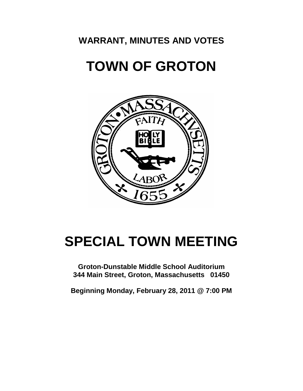## **WARRANT, MINUTES AND VOTES**

# **TOWN OF GROTON**



# **SPECIAL TOWN MEETING**

**Groton-Dunstable Middle School Auditorium 344 Main Street, Groton, Massachusetts 01450**

**Beginning Monday, February 28, 2011 @ 7:00 PM**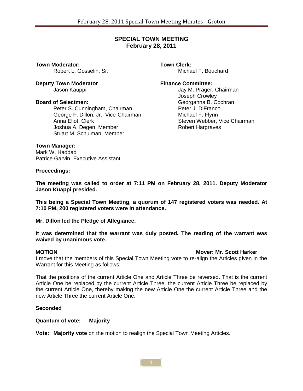#### **SPECIAL TOWN MEETING February 28, 2011**

**Town Moderator: Town Clerk: Notify Clerk: Robert L. Gosselin. Sr. Town Clerk: Michael F. Bouchard** Robert L. Gosselin, Sr.

**Deputy Town Moderator Finance Committee:**

Peter S. Cunningham, Chairman **Peter J. DiFrancom Chairman** Peter J. DiFrancom George F. Pillon, Jr., Vice-Chairman George F. Dillon, Jr., Vice-Chairman Anna Eliot, Clerk Steven Webber, Vice Chairman Joshua A. Degen, Member Robert Hargraves Stuart M. Schulman, Member

Jay M. Prager, Chairman Joseph Crowley **Board of Selectmen:** Georganna B. Cochran<br>Peter S. Cunningham. Chairman **Gramman** Peter J. DiFranco

#### **Town Manager:**

Mark W. Haddad Patrice Garvin, Executive Assistant

**Proceedings:**

**The meeting was called to order at 7:11 PM on February 28, 2011. Deputy Moderator Jason Kuappi presided.**

**This being a Special Town Meeting, a quorum of 147 registered voters was needed. At 7:10 PM, 200 registered voters were in attendance.** 

**Mr. Dillon led the Pledge of Allegiance.** 

**It was determined that the warrant was duly posted. The reading of the warrant was waived by unanimous vote.**

#### **MOTION Mover: Mr. Scott Harker**

I move that the members of this Special Town Meeting vote to re-align the Articles given in the Warrant for this Meeting as follows:

That the positions of the current Article One and Article Three be reversed. That is the current Article One be replaced by the current Article Three, the current Article Three be replaced by the current Article One, thereby making the new Article One the current Article Three and the new Article Three the current Article One.

#### **Seconded**

**Quantum of vote: Majority**

**Vote: Majority vote** on the motion to realign the Special Town Meeting Articles.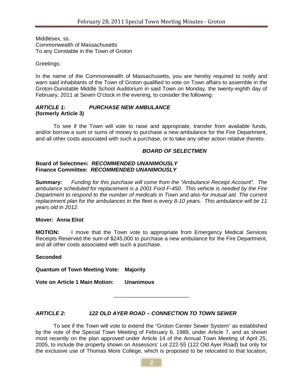Middlesex, ss. Commonwealth of Massachusetts To any Constable in the Town of Groton

Greetings:

In the name of the Commonwealth of Massachusetts, you are hereby required to notify and warn said inhabitants of the Town of Groton qualified to vote on Town affairs to assemble in the Groton-Dunstable Middle School Auditorium in said Town on Monday, the twenty-eighth day of February, 2011 at Seven O'clock in the evening, to consider the following:

#### *ARTICLE 1: PURCHASE NEW AMBULANCE* **(formerly Article 3)**

To see if the Town will vote to raise and appropriate, transfer from available funds, and/or borrow a sum or sums of money to purchase a new ambulance for the Fire Department, and all other costs associated with such a purchase, or to take any other action relative thereto.

#### *BOARD OF SELECTMEN*

#### **Board of Selectmen:** *RECOMMENDED UNANIMOUSLY* **Finance Committee:** *RECOMMENDED UNANIMOUSLY*

**Summary:** *Funding for this purchase will come from the "Ambulance Receipt Account". The ambulance scheduled for replacement is a 2001 Ford F-450. This vehicle is needed by the Fire Department to respond to the number of medicals in Town and also for mutual aid. The current replacement plan for the ambulances in the fleet is every 8-10 years. This ambulance will be 11 years old in 2012.*

#### **Mover: Anna Eliot**

**MOTION:** I move that the Town vote to appropriate from Emergency Medical Services Receipts Reserved the sum of \$245,000 to purchase a new ambulance for the Fire Department, and all other costs associated with such a purchase.

#### **Seconded**

**Quantum of Town Meeting Vote: Majority**

**Vote on Article 1 Main Motion: Unanimous**

## *ARTICLE 2: 122 OLD AYER ROAD – CONNECTION TO TOWN SEWER*

To see if the Town will vote to extend the "Groton Center Sewer System" as established by the vote of the Special Town Meeting of February 6, 1989, under Article 7, and as shown most recently on the plan approved under Article 14 of the Annual Town Meeting of April 25, 2005, to include the property shown on Assessors' Lot 222-55 (122 Old Ayer Road) but only for the exclusive use of Thomas More College, which is proposed to be relocated to that location,

\_\_\_\_\_\_\_\_\_\_\_\_\_\_\_\_\_\_\_\_\_\_\_\_\_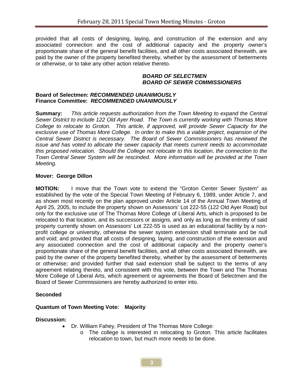provided that all costs of designing, laying, and construction of the extension and any associated connection and the cost of additional capacity and the property owner's proportionate share of the general benefit facilities, and all other costs associated therewith, are paid by the owner of the property benefited thereby, whether by the assessment of betterments or otherwise, or to take any other action relative thereto.

#### *BOARD OF SELECTMEN BOARD OF SEWER COMMISSIONERS*

#### **Board of Selectmen:** *RECOMMENDED UNANIMOUSLY* **Finance Committee:** *RECOMMENDED UNANIMOUSLY*

**Summary:** *This article requests authorization from the Town Meeting to expand the Central Sewer District to include 122 Old Ayer Road. The Town is currently working with Thomas More College to relocate to Groton. This article, if approved, will provide Sewer Capacity for the exclusive use of Thomas More College. In order to make this a viable project, expansion of the Central Sewer District is necessary. The Board of Sewer Commissioners has reviewed the issue and has voted to allocate the sewer capacity that meets current needs to accommodate this proposed relocation. Should the College not relocate to this location, the connection to the Town Central Sewer System will be rescinded. More information will be provided at the Town Meeting.*

#### **Mover: George Dillon**

**MOTION:** I move that the Town vote to extend the "Groton Center Sewer System" as established by the vote of the Special Town Meeting of February 6, 1989, under Article 7, and as shown most recently on the plan approved under Article 14 of the Annual Town Meeting of April 25, 2005, to include the property shown on Assessors' Lot 222-55 (122 Old Ayer Road) but only for the exclusive use of The Thomas More College of Liberal Arts, which is proposed to be relocated to that location, and its successors or assigns, and only as long as the entirety of said property currently shown on Assessors' Lot 222-55 is used as an educational facility by a nonprofit college or university, otherwise the sewer system extension shall terminate and be null and void; and provided that all costs of designing, laying, and construction of the extension and any associated connection and the cost of additional capacity and the property owner's proportionate share of the general benefit facilities, and all other costs associated therewith, are paid by the owner of the property benefited thereby, whether by the assessment of betterments or otherwise; and provided further that said extension shall be subject to the terms of any agreement relating thereto, and consistent with this vote, between the Town and The Thomas More College of Liberal Arts, which agreement or agreements the Board of Selectmen and the Board of Sewer Commissioners are hereby authorized to enter into.

#### **Seconded**

#### **Quantum of Town Meeting Vote: Majority**

#### **Discussion:**

- Dr. William Fahey, President of The Thomas More College:
	- o The college is interested in relocating to Groton. This article facilitates relocation to town, but much more needs to be done.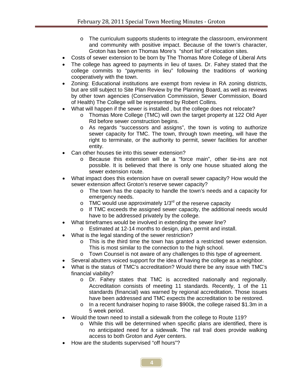- $\circ$  The curriculum supports students to integrate the classroom, environment and community with positive impact. Because of the town's character, Groton has been on Thomas More's "short list" of relocation sites.
- Costs of sewer extension to be born by The Thomas More College of Liberal Arts
- The college has agreed to payments in lieu of taxes. Dr. Fahey stated that the college commits to "payments in lieu" following the traditions of working cooperatively with the town.
- Zoning: Educational institutions are exempt from review in RA zoning districts, but are still subject to Site Plan Review by the Planning Board, as well as reviews by other town agencies (Conservation Commission, Sewer Commission, Board of Health) The College will be represented by Robert Collins.
- What will happen if the sewer is installed , but the college does not relocate?
	- o Thomas More College (TMC) will own the target property at 122 Old Ayer Rd before sewer construction begins.
	- o As regards "successors and assigns", the town is voting to authorize sewer capacity for TMC. The town, through town meeting, will have the right to terminate, or the authority to permit, sewer facilities for another entity.
- Can other houses tie into this sewer extension?
	- o Because this extension will be a "force main", other tie-ins are not possible. It is believed that there is only one house situated along the sewer extension route.
- What impact does this extension have on overall sewer capacity? How would the sewer extension affect Groton's reserve sewer capacity?
	- $\circ$  The town has the capacity to handle the town's needs and a capacity for emergency needs.
	- $\circ$  TMC would use approximately 1/3<sup>rd</sup> of the reserve capacity
	- o If TMC exceeds the assigned sewer capacity, the additional needs would have to be addressed privately by the college.
- What timeframes would be involved in extending the sewer line?
	- o Estimated at 12-14 months to design, plan, permit and install.
- What is the legal standing of the sewer restriction?
	- o This is the third time the town has granted a restricted sewer extension. This is most similar to the connection to the high school.
	- o Town Counsel is not aware of any challenges to this type of agreement.
- Several abutters voiced support for the idea of having the college as a neighbor.
- What is the status of TMC's accreditation? Would there be any issue with TMC's financial viability?
	- o Dr. Fahey states that TMC is accredited nationally and regionally. Accreditation consists of meeting 11 standards. Recently, 1 of the 11 standards (financial) was warned by regional accreditation. Those issues have been addressed and TMC expects the accreditation to be restored.
	- o In a recent fundraiser hoping to raise \$900k, the college raised \$1.3m in a 5 week period.
- Would the town need to install a sidewalk from the college to Route 119?
	- o While this will be determined when specific plans are identified, there is no anticipated need for a sidewalk. The rail trail does provide walking access to both Groton and Ayer centers.
- How are the students supervised "off hours"?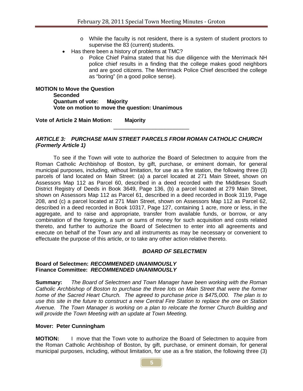- o While the faculty is not resident, there is a system of student proctors to supervise the 83 (current) students.
- Has there been a history of problems at TMC?
	- o Police Chief Palma stated that his due diligence with the Merrimack NH police chief results in a finding that the college makes good neighbors and are good citizens. The Merrimack Police Chief described the college as "boring" (in a good police sense).

**MOTION to Move the Question Seconded Quantum of vote: Majority Vote on motion to move the question: Unanimous**

**Vote of Article 2 Main Motion: Majority**

#### *ARTICLE 3: PURCHASE MAIN STREET PARCELS FROM ROMAN CATHOLIC CHURCH (Formerly Article 1)*

\_\_\_\_\_\_\_\_\_\_\_\_\_\_\_\_\_\_\_\_\_\_\_\_\_

To see if the Town will vote to authorize the Board of Selectmen to acquire from the Roman Catholic Archbishop of Boston, by gift, purchase, or eminent domain, for general municipal purposes, including, without limitation, for use as a fire station, the following three (3) parcels of land located on Main Street: (a) a parcel located at 271 Main Street, shown on Assessors Map 112 as Parcel 60, described in a deed recorded with the Middlesex South District Registry of Deeds in Book 3649, Page 136, (b) a parcel located at 279 Main Street, shown on Assessors Map 112 as Parcel 61, described in a deed recorded in Book 3119, Page 208, and (c) a parcel located at 271 Main Street, shown on Assessors Map 112 as Parcel 62, described in a deed recorded in Book 10317, Page 127, containing 1 acre, more or less, in the aggregate, and to raise and appropriate, transfer from available funds, or borrow, or any combination of the foregoing, a sum or sums of money for such acquisition and costs related thereto, and further to authorize the Board of Selectmen to enter into all agreements and execute on behalf of the Town any and all instruments as may be necessary or convenient to effectuate the purpose of this article, or to take any other action relative thereto.

#### *BOARD OF SELECTMEN*

#### **Board of Selectmen:** *RECOMMENDED UNANIMOUSLY* **Finance Committee:** *RECOMMENDED UNANIMOUSLY*

**Summary:** *The Board of Selectmen and Town Manager have been working with the Roman Catholic Archbishop of Boston to purchase the three lots on Main Street that were the former home of the Sacred Heart Church. The agreed to purchase price is \$475,000. The plan is to use this site in the future to construct a new Central Fire Station to replace the one on Station Avenue. The Town Manager is working on a plan to relocate the former Church Building and will provide the Town Meeting with an update at Town Meeting.*

#### **Mover: Peter Cunningham**

**MOTION:** I move that the Town vote to authorize the Board of Selectmen to acquire from the Roman Catholic Archbishop of Boston, by gift, purchase, or eminent domain, for general municipal purposes, including, without limitation, for use as a fire station, the following three (3)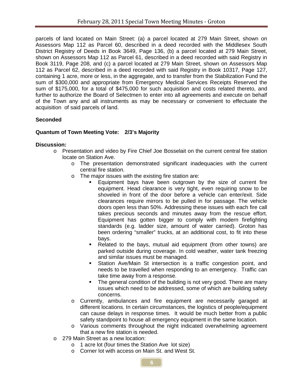parcels of land located on Main Street: (a) a parcel located at 279 Main Street, shown on Assessors Map 112 as Parcel 60, described in a deed recorded with the Middlesex South District Registry of Deeds in Book 3649, Page 136, (b) a parcel located at 279 Main Street, shown on Assessors Map 112 as Parcel 61, described in a deed recorded with said Registry in Book 3119, Page 208, and (c) a parcel located at 279 Main Street, shown on Assessors Map 112 as Parcel 62, described in a deed recorded with said Registry in Book 10317, Page 127, containing 1 acre, more or less, in the aggregate, and to transfer from the Stabilization Fund the sum of \$300,000 and appropriate from Emergency Medical Services Receipts Reserved the sum of \$175,000, for a total of \$475,000 for such acquisition and costs related thereto, and further to authorize the Board of Selectmen to enter into all agreements and execute on behalf of the Town any and all instruments as may be necessary or convenient to effectuate the acquisition of said parcels of land.

## **Seconded**

## **Quantum of Town Meeting Vote: 2/3's Majority**

#### **Discussion:**

- o Presentation and video by Fire Chief Joe Bosselait on the current central fire station locate on Station Ave.
	- $\circ$  The presentation demonstrated significant inadequacies with the current central fire station.
	- o The major issues with the existing fire station are:
		- Equipment bays have been outgrown by the size of current fire equipment. Head clearance is very tight, even requiring snow to be shoveled in front of the door before a vehicle can enter/exit. Side clearances require mirrors to be pulled in for passage. The vehicle doors open less than 50%. Addressing these issues with each fire call takes precious seconds and minutes away from the rescue effort. Equipment has gotten bigger to comply with modern firefighting standards (e.g. ladder size, amount of water carried). Groton has been ordering "smaller" trucks, at an additional cost, to fit into these bays.
			- Related to the bays, mutual aid equipment (from other towns) are parked outside during coverage. In cold weather, water tank freezing and similar issues must be managed.
			- Station Ave/Main St intersection is a traffic congestion point, and needs to be travelled when responding to an emergency. Traffic can take time away from a response.
			- The general condition of the building is not very good. There are many issues which need to be addressed, some of which are building safety concerns.
	- o Currently, ambulances and fire equipment are necessarily garaged at different locations. In certain circumstances, the logistics of people/equipment can cause delays in response times. It would be much better from a public safety standpoint to house all emergency equipment in the same location.
	- o Various comments throughout the night indicated overwhelming agreement that a new fire station is needed.
- o 279 Main Street as a new location:
	- o 1 acre lot (four times the Station Ave lot size)
	- o Corner lot with access on Main St. and West St.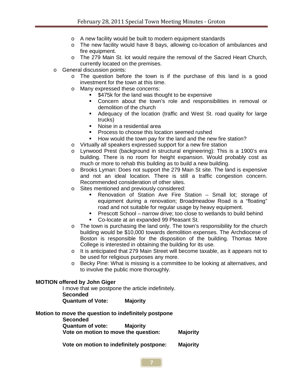- o A new facility would be built to modern equipment standards
- o The new facility would have 8 bays, allowing co-location of ambulances and fire equipment.
- o The 279 Main St. lot would require the removal of the Sacred Heart Church, currently located on the premises.
- o General discussion points:
	- o The question before the town is if the purchase of this land is a good investment for the town at this time.
	- o Many expressed these concerns:
		- \$475k for the land was thought to be expensive
		- Concern about the town's role and responsibilities in removal or demolition of the church
		- Adequacy of the location (traffic and West St. road quality for large trucks)
		- Noise in a residential area
		- **Process to choose this location seemed rushed**
		- How would the town pay for the land and the new fire station?
	- o Virtually all speakers expressed support for a new fire station
	- o Lynwood Prest (background in structural engineering): This is a 1900's era building. There is no room for height expansion. Would probably cost as much or more to rehab this building as to build a new building.
	- o Brooks Lyman: Does not support the 279 Main St site. The land is expensive and not an ideal location. There is still a traffic congestion concern. Recommended consideration of other sites.
	- o Sites mentioned and previously considered:
		- Renovation of Station Ave Fire Station Small lot; storage of equipment during a renovation; Broadmeadow Road is a "floating" road and not suitable for regular usage by heavy equipment.
		- **Prescott School narrow drive; too close to wetlands to build behind**
		- **Co-locate at an expanded 99 Pleasant St.**
	- $\circ$  The town is purchasing the land only. The town's responsibility for the church building would be \$10,000 towards demolition expenses. The Archdiocese of Boston is responsible for the disposition of the building. Thomas More College is interested in obtaining the building for its use.
	- o It is anticipated that 279 Main Street will become taxable, as it appears not to be used for religious purposes any more.
	- o Becky Pine: What is missing is a committee to be looking at alternatives, and to involve the public more thoroughly.

#### **MOTION offered by John Giger**

I move that we postpone the article indefinitely. **Seconded Quantum of Vote: Majority**

#### **Motion to move the question to indefinitely postpone**

 **Seconded Quantum of vote: Majority Vote on motion to move the question: Majority**

**Vote on motion to indefinitely postpone: Majority**